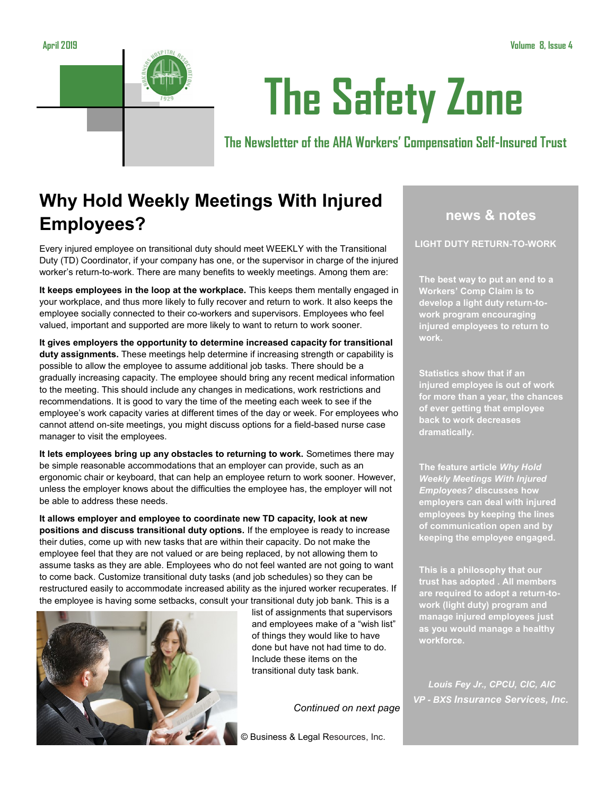

# **The Safety Zone**

**The Newsletter of the AHA Workers' Compensation Self-Insured Trust**

## **Why Hold Weekly Meetings With Injured Employees?**

Every injured employee on transitional duty should meet WEEKLY with the Transitional Duty (TD) Coordinator, if your company has one, or the supervisor in charge of the injured worker's return-to-work. There are many benefits to weekly meetings. Among them are:

**It keeps employees in the loop at the workplace.** This keeps them mentally engaged in your workplace, and thus more likely to fully recover and return to work. It also keeps the employee socially connected to their co-workers and supervisors. Employees who feel valued, important and supported are more likely to want to return to work sooner.

**It gives employers the opportunity to determine increased capacity for transitional duty assignments.** These meetings help determine if increasing strength or capability is possible to allow the employee to assume additional job tasks. There should be a gradually increasing capacity. The employee should bring any recent medical information to the meeting. This should include any changes in medications, work restrictions and recommendations. It is good to vary the time of the meeting each week to see if the employee's work capacity varies at different times of the day or week. For employees who cannot attend on-site meetings, you might discuss options for a field-based nurse case manager to visit the employees.

**It lets employees bring up any obstacles to returning to work.** Sometimes there may be simple reasonable accommodations that an employer can provide, such as an ergonomic chair or keyboard, that can help an employee return to work sooner. However, unless the employer knows about the difficulties the employee has, the employer will not be able to address these needs.

**It allows employer and employee to coordinate new TD capacity, look at new positions and discuss transitional duty options.** If the employee is ready to increase their duties, come up with new tasks that are within their capacity. Do not make the employee feel that they are not valued or are being replaced, by not allowing them to assume tasks as they are able. Employees who do not feel wanted are not going to want to come back. Customize transitional duty tasks (and job schedules) so they can be restructured easily to accommodate increased ability as the injured worker recuperates. If the employee is having some setbacks, consult your transitional duty job bank. This is a



list of assignments that supervisors and employees make of a "wish list" of things they would like to have done but have not had time to do. Include these items on the transitional duty task bank.

*Continued on next page* 

© Business & Legal Resources, Inc.

## **news & notes**

**LIGHT DUTY RETURN-TO-WORK**

**The best way to put an end to a Workers' Comp Claim is to develop a light duty return-towork program encouraging injured employees to return to work.** 

**Statistics show that if an injured employee is out of work for more than a year, the chances of ever getting that employee back to work decreases dramatically.**

**The feature article** *Why Hold Weekly Meetings With Injured Employees?* **discusses how employers can deal with injured employees by keeping the lines of communication open and by keeping the employee engaged.**

**This is a philosophy that our trust has adopted . All members are required to adopt a return-towork (light duty) program and manage injured employees just as you would manage a healthy workforce.**

*Louis Fey Jr., CPCU, CIC, AIC VP - BXS Insurance Services, Inc.*